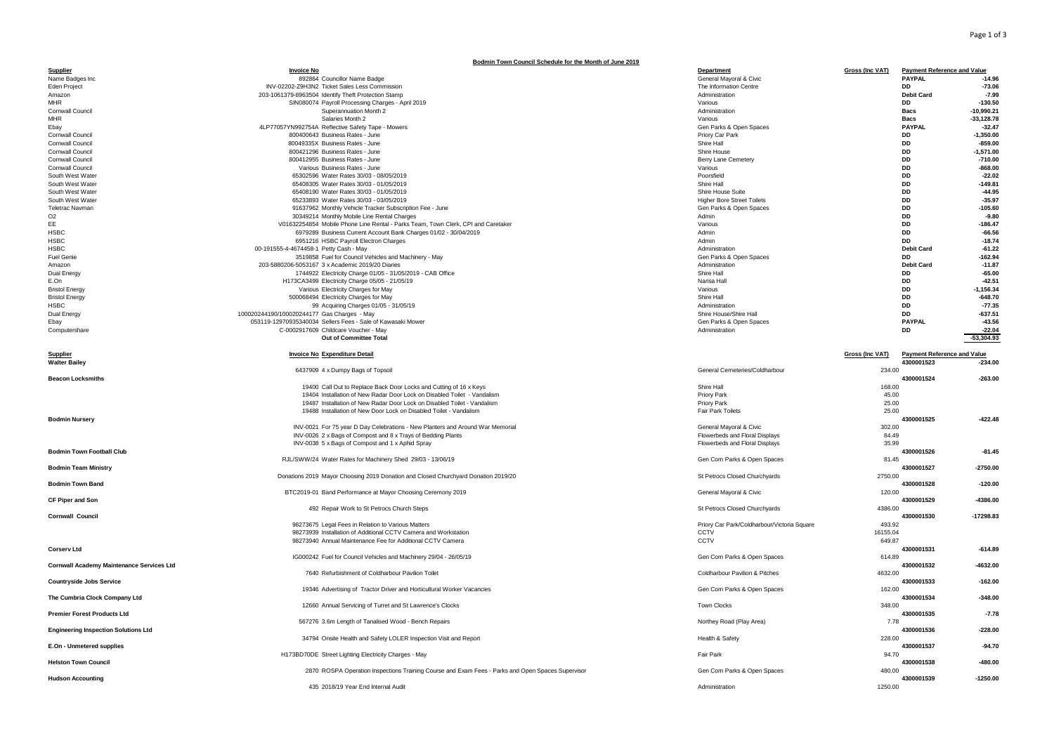## Page 1 of 3

|                                                | Bodmin Town Council Schedule for the Month of June 2019                                                                                        |                                                           |                                                                               |                              |
|------------------------------------------------|------------------------------------------------------------------------------------------------------------------------------------------------|-----------------------------------------------------------|-------------------------------------------------------------------------------|------------------------------|
| Supplier<br>Name Badges Inc                    | <b>Invoice No</b><br>892864 Councillor Name Badge                                                                                              | Department<br>General Mayoral & Civic                     | <b>Gross (Inc VAT)</b><br><b>Payment Reference and Value</b><br><b>PAYPAL</b> | $-14.96$                     |
| Eden Project                                   | INV-02202-Z9H3N2 Ticket Sales Less Commission                                                                                                  | The Information Centre                                    | <b>DD</b>                                                                     | $-73.06$                     |
| Amazon                                         | 203-1061379-8963504 Identify Theft Protection Stamp                                                                                            | Administration                                            | <b>Debit Card</b>                                                             | $-7.99$                      |
| <b>MHR</b>                                     | SIN080074 Payroll Processing Charges - April 2019                                                                                              | Various                                                   | DD                                                                            | $-130.50$                    |
| Cornwall Council<br><b>MHR</b>                 | Superannuation Month 2<br>Salaries Month 2                                                                                                     | Administration<br>Various                                 | <b>Bacs</b><br><b>Bacs</b>                                                    | $-10,990.21$<br>$-33,128.78$ |
| Ebay                                           | 4LP77057YN992754A Reflective Safety Tape - Mowers                                                                                              | Gen Parks & Open Spaces                                   | <b>PAYPAL</b>                                                                 | $-32.47$                     |
| Cornwall Council                               | 800400643 Business Rates - June                                                                                                                | Priory Car Park                                           | DD                                                                            | $-1,350.00$                  |
| Cornwall Council                               | 80049335X Business Rates - June                                                                                                                | Shire Hall                                                | <b>DD</b>                                                                     | $-859.00$                    |
| Cornwall Council                               | 800421296 Business Rates - June                                                                                                                | Shire House                                               | DD                                                                            | $-1,571.00$                  |
| Cornwall Council<br>Cornwall Council           | 800412955 Business Rates - June<br>Various Business Rates - June                                                                               | <b>Berry Lane Cemetery</b><br>Various                     | DD<br><b>DD</b>                                                               | $-710.00$<br>$-868.00$       |
| South West Water                               | 65302596 Water Rates 30/03 - 08/05/2019                                                                                                        | Poorsfield                                                | <b>DD</b>                                                                     | $-22.02$                     |
| South West Water                               | 65408305 Water Rates 30/03 - 01/05/2019                                                                                                        | Shire Hall                                                | <b>DD</b>                                                                     | $-149.81$                    |
| South West Water                               | 65408190 Water Rates 30/03 - 01/05/2019                                                                                                        | Shire House Suite                                         | DD                                                                            | $-44.95$                     |
| South West Water<br><b>Teletrac Navman</b>     | 65233893 Water Rates 30/03 - 03/05/2019                                                                                                        | <b>Higher Bore Street Toilets</b>                         | DD<br><b>DD</b>                                                               | $-35.97$<br>$-105.60$        |
| O <sub>2</sub>                                 | 91637962 Monthly Vehicle Tracker Subscription Fee - June<br>30349214 Monthly Mobile Line Rental Charges                                        | Gen Parks & Open Spaces<br>Admin                          | <b>DD</b>                                                                     | $-9.80$                      |
| EE                                             | V01632254854 Mobile Phone Line Rental - Parks Team, Town Clerk, CPI and Caretaker                                                              | Various                                                   | DD                                                                            | $-186.47$                    |
| <b>HSBC</b>                                    | 6979289 Business Current Account Bank Charges 01/02 - 30/04/2019                                                                               | Admin                                                     | DD                                                                            | $-66.56$                     |
| <b>HSBC</b>                                    | 6951216 HSBC Payroll Electron Charges                                                                                                          | Admin                                                     | DD<br><b>Debit Card</b>                                                       | $-18.74$                     |
| <b>HSBC</b><br>Fuel Genie                      | 00-191555-4-4674458-1 Petty Cash - May<br>3519858 Fuel for Council Vehicles and Machinery - May                                                | Administration<br>Gen Parks & Open Spaces                 | nn.                                                                           | $-61.22$<br>$-162.94$        |
| Amazon                                         | 203-5880206-5053167 3 x Academic 2019/20 Diaries                                                                                               | Administration                                            | <b>Debit Card</b>                                                             | $-11.87$                     |
| Dual Energy                                    | 1744922 Electricity Charge 01/05 - 31/05/2019 - CAB Office                                                                                     | Shire Hall                                                | DD                                                                            | $-65.00$                     |
| E.On                                           | H173CA3499 Electricity Charge 05/05 - 21/05/19                                                                                                 | Narisa Hall                                               | DD                                                                            | $-42.51$                     |
| <b>Bristol Energy</b><br><b>Bristol Energy</b> | Various Electricity Charges for May<br>500068494 Electricity Charges for May                                                                   | Various<br>Shire Hall                                     | DD<br><b>DD</b>                                                               | $-1,156.34$<br>$-648.70$     |
| <b>HSBC</b>                                    | 99 Acquiring Charges 01/05 - 31/05/19                                                                                                          | Administration                                            | <b>DD</b>                                                                     | $-77.35$                     |
| Dual Energy                                    | 100020244190/100020244177 Gas Charges - May                                                                                                    | Shire House/Shire Hall                                    | DD                                                                            | $-637.51$                    |
| Ebay                                           | 053119-12970935340034 Sellers Fees - Sale of Kawasaki Mower                                                                                    | Gen Parks & Open Spaces                                   | <b>PAYPAL</b>                                                                 | $-43.56$                     |
| Computershare                                  | C-0002917609 Childcare Voucher - May<br>Out of Committee Total                                                                                 | Administration                                            | DD                                                                            | $-22.04$<br>$-53,304.93$     |
|                                                |                                                                                                                                                |                                                           |                                                                               |                              |
| Supplier                                       | <b>Invoice No Expenditure Detail</b>                                                                                                           |                                                           | <b>Gross (Inc VAT)</b><br><b>Payment Reference and Value</b>                  |                              |
| <b>Walter Bailey</b>                           |                                                                                                                                                |                                                           | 4300001523                                                                    | $-234.00$                    |
|                                                |                                                                                                                                                |                                                           |                                                                               |                              |
|                                                | 6437909 4 x Dumpy Bags of Topsoil                                                                                                              | General Cemeteries/Coldharbour                            | 234.00                                                                        |                              |
| <b>Beacon Locksmiths</b>                       | 19400 Call Out to Replace Back Door Locks and Cutting of 16 x Keys                                                                             | Shire Hall                                                | 4300001524<br>168.00                                                          | $-263.00$                    |
|                                                | 19404 Installation of New Radar Door Lock on Disabled Toilet - Vandalism                                                                       | Priory Park                                               | 45.00                                                                         |                              |
|                                                | 19487 Installation of New Radar Door Lock on Disabled Toilet - Vandalism                                                                       | Priory Park                                               | 25.00                                                                         |                              |
|                                                | 19488 Installation of New Door Lock on Disabled Toilet - Vandalism                                                                             | Fair Park Toilets                                         | 25.00                                                                         |                              |
| <b>Bodmin Nursery</b>                          |                                                                                                                                                |                                                           | 4300001525                                                                    | $-422.48$                    |
|                                                | INV-0021 For 75 year D Day Celebrations - New Planters and Around War Memorial<br>INV-0026 2 x Bags of Compost and 8 x Trays of Bedding Plants | General Mayoral & Civic<br>Flowerbeds and Floral Displays | 302.00<br>84.49                                                               |                              |
|                                                | INV-0038 5 x Bags of Compost and 1 x Aphid Spray                                                                                               | Flowerbeds and Floral Displays                            | 35.99                                                                         |                              |
| <b>Bodmin Town Football Club</b>               |                                                                                                                                                |                                                           | 4300001526                                                                    | $-81.45$                     |
|                                                | RJL/SWW/24 Water Rates for Machinery Shed 29/03 - 13/06/19                                                                                     | Gen Com Parks & Open Spaces                               | 81.45                                                                         |                              |
| <b>Bodmin Team Ministry</b>                    | Donations 2019 Mayor Choosing 2019 Donation and Closed Churchyard Donation 2019/20                                                             | St Petrocs Closed Churchyards                             | 4300001527<br>2750.00                                                         | $-2750.00$                   |
| <b>Bodmin Town Band</b>                        |                                                                                                                                                |                                                           | 4300001528                                                                    | $-120.00$                    |
|                                                | BTC2019-01 Band Performance at Mayor Choosing Ceremony 2019                                                                                    | General Mayoral & Civic                                   | 120.00                                                                        |                              |
| CF Piper and Son                               |                                                                                                                                                |                                                           | 4300001529                                                                    | 4386.00                      |
| <b>Cornwall Council</b>                        | 492 Repair Work to St Petrocs Church Steps                                                                                                     | St Petrocs Closed Churchyards                             | 4386.00<br>4300001530                                                         | -17298.83                    |
|                                                | 98273675 Legal Fees in Relation to Various Matters                                                                                             | Priory Car Park/Coldharbour/Victoria Square               | 493.92                                                                        |                              |
|                                                | 98273939 Installation of Additional CCTV Camera and Workstation                                                                                | CCTV                                                      | 16155.04                                                                      |                              |
|                                                | 98273940 Annual Maintenance Fee for Additional CCTV Camera                                                                                     | CCTV                                                      | 649.87                                                                        |                              |
| <b>Corserv Ltd</b>                             |                                                                                                                                                |                                                           | 4300001531<br>614.89                                                          | $-614.89$                    |
| Cornwall Academy Maintenance Services Ltd      | IG000242 Fuel for Council Vehicles and Machinery 29/04 - 26/05/19                                                                              | Gen Com Parks & Open Spaces                               | 4300001532                                                                    | $-4632.00$                   |
|                                                | 7640 Refurbishment of Coldharbour Pavilion Toilet                                                                                              | Coldharbour Pavilion & Pitches                            | 4632.00                                                                       |                              |
| <b>Countryside Jobs Service</b>                |                                                                                                                                                |                                                           | 4300001533                                                                    | $-162.00$                    |
|                                                | 19346 Advertising of Tractor Driver and Horticultural Worker Vacancies                                                                         | Gen Com Parks & Open Spaces                               | 162.00                                                                        |                              |
| The Cumbria Clock Company Ltd                  | 12660 Annual Servicing of Turret and St Lawrence's Clocks                                                                                      | <b>Town Clocks</b>                                        | 4300001534<br>348.00                                                          | $-348.00$                    |
| <b>Premier Forest Products Ltd</b>             |                                                                                                                                                |                                                           | 4300001535                                                                    | $-7.78$                      |
|                                                | 567276 3.6m Length of Tanalised Wood - Bench Repairs                                                                                           | Northey Road (Play Area)                                  | 7.78                                                                          |                              |
| <b>Engineering Inspection Solutions Ltd</b>    |                                                                                                                                                |                                                           | 4300001536                                                                    | $-228.00$                    |
| E.On - Unmetered supplies                      | 34794 Onsite Health and Safety LOLER Inspection Visit and Report                                                                               | Health & Safety                                           | 228.00<br>4300001537                                                          | $-94.70$                     |
|                                                | H173BD70DE Street Lighting Electricity Charges - May                                                                                           | Fair Park                                                 | 94.70                                                                         |                              |
| <b>Helston Town Council</b>                    |                                                                                                                                                |                                                           | 4300001538                                                                    | $-480.00$                    |
| <b>Hudson Accounting</b>                       | 2870 ROSPA Operation Inspections Training Course and Exam Fees - Parks and Open Spaces Supervisor                                              | Gen Com Parks & Open Spaces                               | 480.00<br>4300001539                                                          | $-1250.00$                   |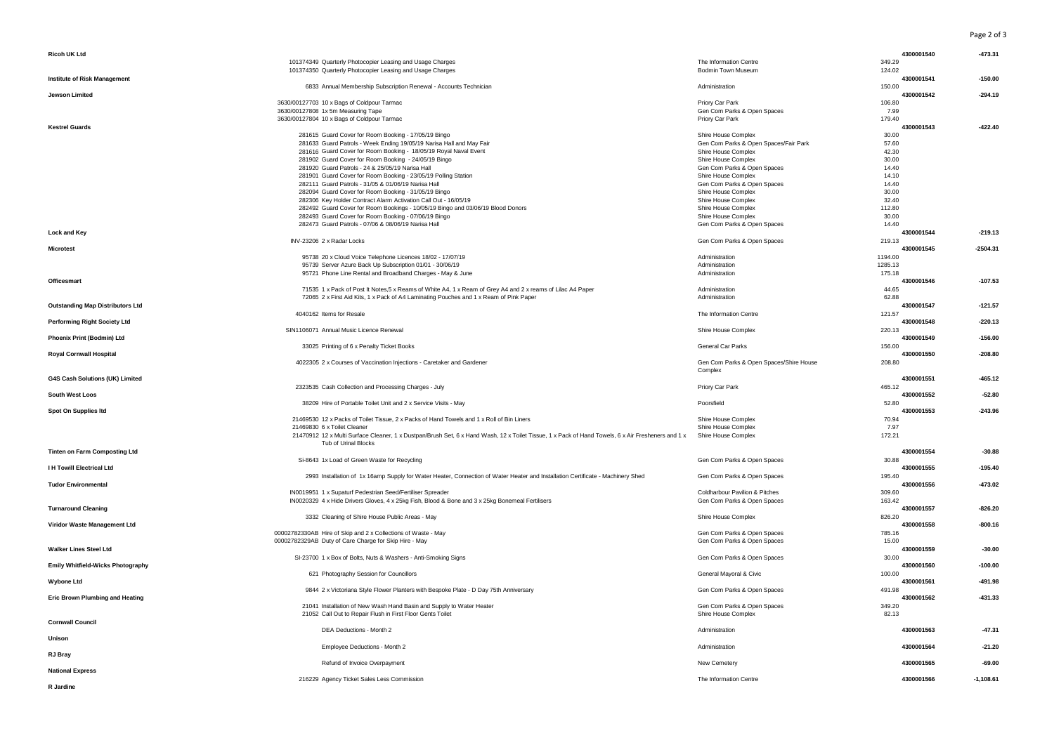Page 2 of 3

| Ricoh UK Ltd                             |                                                                                                                                                                            |                                                    | 4300001540     | $-473.31$   |
|------------------------------------------|----------------------------------------------------------------------------------------------------------------------------------------------------------------------------|----------------------------------------------------|----------------|-------------|
|                                          | 101374349 Quarterly Photocopier Leasing and Usage Charges                                                                                                                  | The Information Centre                             | 349.29         |             |
|                                          | 101374350 Quarterly Photocopier Leasing and Usage Charges                                                                                                                  | <b>Bodmin Town Museum</b>                          | 124.02         |             |
| <b>Institute of Risk Management</b>      |                                                                                                                                                                            |                                                    | 4300001541     | $-150.00$   |
|                                          | 6833 Annual Membership Subscription Renewal - Accounts Technician                                                                                                          | Administration                                     | 150.00         |             |
| <b>Jewson Limited</b>                    |                                                                                                                                                                            |                                                    | 4300001542     | $-294.19$   |
|                                          | 3630/00127703 10 x Bags of Coldpour Tarmac                                                                                                                                 | Priory Car Park                                    | 106.80         |             |
|                                          | 3630/00127808 1x 5m Measuring Tape                                                                                                                                         | Gen Com Parks & Open Spaces                        | 7.99           |             |
|                                          | 3630/00127804 10 x Bags of Coldpour Tarmac                                                                                                                                 | Priory Car Park                                    | 179.40         |             |
| <b>Kestrel Guards</b>                    |                                                                                                                                                                            |                                                    | 4300001543     | $-422.40$   |
|                                          | 281615 Guard Cover for Room Booking - 17/05/19 Bingo                                                                                                                       | Shire House Complex                                | 30.00          |             |
|                                          | 281633 Guard Patrols - Week Ending 19/05/19 Narisa Hall and May Fair                                                                                                       | Gen Com Parks & Open Spaces/Fair Park              | 57.60          |             |
|                                          | 281616 Guard Cover for Room Booking - 18/05/19 Royal Naval Event                                                                                                           | Shire House Complex                                | 42.30          |             |
|                                          | 281902 Guard Cover for Room Booking - 24/05/19 Bingo                                                                                                                       | Shire House Complex                                | 30.00          |             |
|                                          | 281920 Guard Patrols - 24 & 25/05/19 Narisa Hall                                                                                                                           | Gen Com Parks & Open Spaces                        | 14.40          |             |
|                                          | 281901 Guard Cover for Room Booking - 23/05/19 Polling Station                                                                                                             | Shire House Complex                                | 14.10          |             |
|                                          | 282111 Guard Patrols - 31/05 & 01/06/19 Narisa Hall                                                                                                                        | Gen Com Parks & Open Spaces                        | 14.40          |             |
|                                          | 282094 Guard Cover for Room Booking - 31/05/19 Bingo                                                                                                                       | Shire House Complex                                | 30.00          |             |
|                                          | 282306 Key Holder Contract Alarm Activation Call Out - 16/05/19                                                                                                            | Shire House Complex                                | 32.40          |             |
|                                          | 282492 Guard Cover for Room Bookings - 10/05/19 Bingo and 03/06/19 Blood Donors                                                                                            | Shire House Complex                                | 112.80         |             |
|                                          | 282493 Guard Cover for Room Booking - 07/06/19 Bingo<br>282473 Guard Patrols - 07/06 & 08/06/19 Narisa Hall                                                                | Shire House Complex<br>Gen Com Parks & Open Spaces | 30.00<br>14.40 |             |
| Lock and Key                             |                                                                                                                                                                            |                                                    | 4300001544     | $-219.13$   |
|                                          | INV-23206 2 x Radar Locks                                                                                                                                                  | Gen Com Parks & Open Spaces                        | 219.13         |             |
| <b>Microtest</b>                         |                                                                                                                                                                            |                                                    | 4300001545     | $-2504.31$  |
|                                          | 95738 20 x Cloud Voice Telephone Licences 18/02 - 17/07/19                                                                                                                 | Administration                                     | 1194.00        |             |
|                                          | 95739 Server Azure Back Up Subscription 01/01 - 30/06/19                                                                                                                   | Administration                                     | 1285.13        |             |
|                                          | 95721 Phone Line Rental and Broadband Charges - May & June                                                                                                                 | Administration                                     | 175.18         |             |
| Officesmart                              |                                                                                                                                                                            |                                                    | 4300001546     | $-107.53$   |
|                                          | 71535 1 x Pack of Post It Notes, 5 x Reams of White A4, 1 x Ream of Grey A4 and 2 x reams of Lilac A4 Paper                                                                | Administration                                     | 44.65          |             |
|                                          | 72065 2 x First Aid Kits, 1 x Pack of A4 Laminating Pouches and 1 x Ream of Pink Paper                                                                                     | Administration                                     | 62.88          |             |
| <b>Outstanding Map Distributors Ltd</b>  |                                                                                                                                                                            |                                                    | 4300001547     | $-121.57$   |
|                                          | 4040162 Items for Resale                                                                                                                                                   | The Information Centre                             | 121.57         |             |
| <b>Performing Right Society Ltd</b>      |                                                                                                                                                                            |                                                    | 4300001548     | $-220.13$   |
|                                          | SIN1106071 Annual Music Licence Renewal                                                                                                                                    | Shire House Complex                                | 220.13         |             |
| Phoenix Print (Bodmin) Ltd               |                                                                                                                                                                            |                                                    | 4300001549     | $-156.00$   |
|                                          | 33025 Printing of 6 x Penalty Ticket Books                                                                                                                                 | General Car Parks                                  | 156.00         |             |
| <b>Royal Cornwall Hospital</b>           |                                                                                                                                                                            |                                                    | 4300001550     | $-208.80$   |
|                                          | 4022305 2 x Courses of Vaccination Injections - Caretaker and Gardener                                                                                                     | Gen Com Parks & Open Spaces/Shire House            | 208.80         |             |
|                                          |                                                                                                                                                                            | Complex                                            |                |             |
| G4S Cash Solutions (UK) Limited          |                                                                                                                                                                            |                                                    | 4300001551     | $-465.12$   |
|                                          | 2323535 Cash Collection and Processing Charges - July                                                                                                                      | Priory Car Park                                    | 465.12         |             |
| South West Loos                          |                                                                                                                                                                            |                                                    | 4300001552     | $-52.80$    |
|                                          | 38209 Hire of Portable Toilet Unit and 2 x Service Visits - May                                                                                                            | Poorsfield                                         | 52.80          |             |
| Spot On Supplies Itd                     |                                                                                                                                                                            |                                                    | 4300001553     | $-243.96$   |
|                                          | 21469530 12 x Packs of Toilet Tissue, 2 x Packs of Hand Towels and 1 x Roll of Bin Liners                                                                                  | Shire House Complex                                | 70.94          |             |
|                                          | 21469830 6 x Toilet Cleaner                                                                                                                                                | Shire House Complex                                | 7.97           |             |
|                                          | 21470912 12 x Multi Surface Cleaner, 1 x Dustpan/Brush Set, 6 x Hand Wash, 12 x Toilet Tissue, 1 x Pack of Hand Towels, 6 x Air Fresheners and 1 x<br>Tub of Urinal Blocks | Shire House Complex                                | 172.21         |             |
|                                          |                                                                                                                                                                            |                                                    | 4300001554     | $-30.88$    |
| <b>Tinten on Farm Composting Ltd</b>     |                                                                                                                                                                            |                                                    | 30.88          |             |
| <b>IH Towill Electrical Ltd</b>          | Si-8643 1x Load of Green Waste for Recycling                                                                                                                               | Gen Com Parks & Open Spaces                        | 4300001555     | $-195.40$   |
|                                          | 2993 Installation of 1x 16amp Supply for Water Heater, Connection of Water Heater and Installation Certificate - Machinery Shed                                            | Gen Com Parks & Open Spaces                        | 195.40         |             |
| <b>Tudor Environmental</b>               |                                                                                                                                                                            |                                                    | 4300001556     | $-473.02$   |
|                                          | IN0019951 1 x Supaturf Pedestrian Seed/Fertiliser Spreader                                                                                                                 | Coldharbour Pavilion & Pitches                     | 309.60         |             |
|                                          | IN0020329 4 x Hide Drivers Gloves, 4 x 25kg Fish, Blood & Bone and 3 x 25kg Bonemeal Fertilisers                                                                           | Gen Com Parks & Open Spaces                        | 163.42         |             |
| <b>Turnaround Cleaning</b>               |                                                                                                                                                                            |                                                    | 4300001557     | $-826.20$   |
|                                          | 3332 Cleaning of Shire House Public Areas - May                                                                                                                            | Shire House Complex                                | 826.20         |             |
| Viridor Waste Management Ltd             |                                                                                                                                                                            |                                                    | 4300001558     | $-800.16$   |
|                                          | 00002782330AB Hire of Skip and 2 x Collections of Waste - May                                                                                                              | Gen Com Parks & Open Spaces                        | 785.16         |             |
|                                          | 00002782329AB Duty of Care Charge for Skip Hire - May                                                                                                                      | Gen Com Parks & Open Spaces                        | 15.00          |             |
| <b>Walker Lines Steel Ltd</b>            |                                                                                                                                                                            |                                                    | 4300001559     | $-30.00$    |
|                                          | SI-23700 1 x Box of Bolts, Nuts & Washers - Anti-Smoking Signs                                                                                                             | Gen Com Parks & Open Spaces                        | 30.00          |             |
| <b>Emily Whitfield-Wicks Photography</b> |                                                                                                                                                                            |                                                    | 4300001560     | $-100.00$   |
|                                          | 621 Photography Session for Councillors                                                                                                                                    | General Mayoral & Civic                            | 100.00         |             |
| <b>Wybone Ltd</b>                        |                                                                                                                                                                            |                                                    | 4300001561     | -491.98     |
|                                          | 9844 2 x Victoriana Style Flower Planters with Bespoke Plate - D Day 75th Anniversary                                                                                      | Gen Com Parks & Open Spaces                        | 491.98         |             |
| <b>Eric Brown Plumbing and Heating</b>   |                                                                                                                                                                            |                                                    | 4300001562     | $-431.33$   |
|                                          | 21041 Installation of New Wash Hand Basin and Supply to Water Heater                                                                                                       | Gen Com Parks & Open Spaces                        | 349.20         |             |
|                                          | 21052 Call Out to Repair Flush in First Floor Gents Toilet                                                                                                                 | Shire House Complex                                | 82.13          |             |
| <b>Cornwall Council</b>                  |                                                                                                                                                                            |                                                    |                |             |
| Unison                                   | DEA Deductions - Month 2                                                                                                                                                   | Administration                                     | 4300001563     | $-47.31$    |
|                                          | Employee Deductions - Month 2                                                                                                                                              | Administration                                     | 4300001564     | $-21.20$    |
| RJ Bray                                  |                                                                                                                                                                            |                                                    |                |             |
|                                          | Refund of Invoice Overpayment                                                                                                                                              | New Cemetery                                       | 4300001565     | $-69.00$    |
| <b>National Express</b>                  |                                                                                                                                                                            |                                                    |                |             |
|                                          | 216229 Agency Ticket Sales Less Commission                                                                                                                                 | The Information Centre                             | 4300001566     | $-1,108.61$ |
|                                          |                                                                                                                                                                            |                                                    |                |             |

**R Jardine**